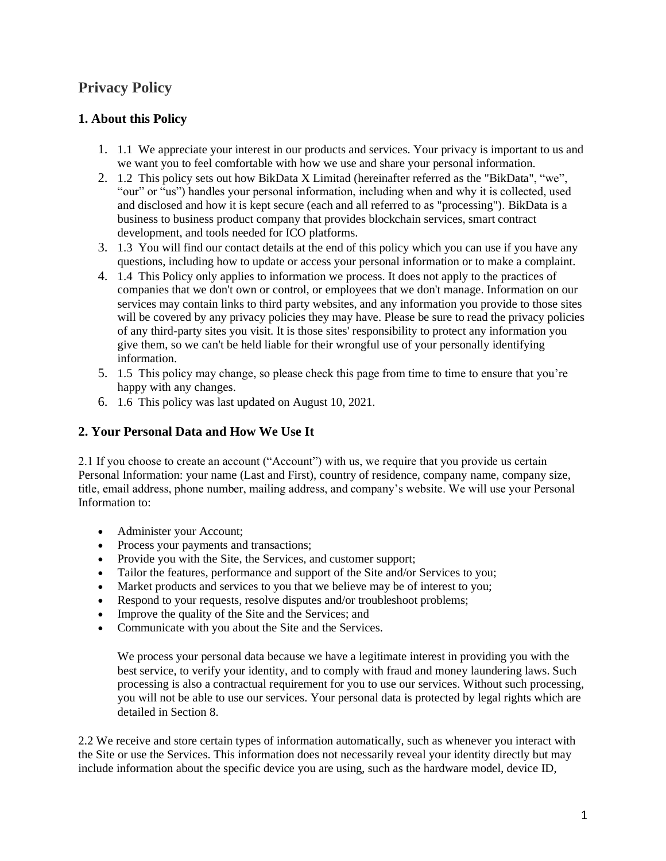# **Privacy Policy**

### **1. About this Policy**

- 1. 1.1 We appreciate your interest in our products and services. Your privacy is important to us and we want you to feel comfortable with how we use and share your personal information.
- 2. 1.2 This policy sets out how BikData X Limitad (hereinafter referred as the "BikData", "we", "our" or "us") handles your personal information, including when and why it is collected, used and disclosed and how it is kept secure (each and all referred to as "processing"). BikData is a business to business product company that provides blockchain services, smart contract development, and tools needed for ICO platforms.
- 3. 1.3 You will find our contact details at the end of this policy which you can use if you have any questions, including how to update or access your personal information or to make a complaint.
- 4. 1.4 This Policy only applies to information we process. It does not apply to the practices of companies that we don't own or control, or employees that we don't manage. Information on our services may contain links to third party websites, and any information you provide to those sites will be covered by any privacy policies they may have. Please be sure to read the privacy policies of any third-party sites you visit. It is those sites' responsibility to protect any information you give them, so we can't be held liable for their wrongful use of your personally identifying information.
- 5. 1.5 This policy may change, so please check this page from time to time to ensure that you're happy with any changes.
- 6. 1.6 This policy was last updated on August 10, 2021.

### **2. Your Personal Data and How We Use It**

2.1 If you choose to create an account ("Account") with us, we require that you provide us certain Personal Information: your name (Last and First), country of residence, company name, company size, title, email address, phone number, mailing address, and company's website. We will use your Personal Information to:

- Administer your Account;
- Process your payments and transactions;
- Provide you with the Site, the Services, and customer support;
- Tailor the features, performance and support of the Site and/or Services to you;
- Market products and services to you that we believe may be of interest to you;
- Respond to your requests, resolve disputes and/or troubleshoot problems;
- Improve the quality of the Site and the Services; and
- Communicate with you about the Site and the Services.

We process your personal data because we have a legitimate interest in providing you with the best service, to verify your identity, and to comply with fraud and money laundering laws. Such processing is also a contractual requirement for you to use our services. Without such processing, you will not be able to use our services. Your personal data is protected by legal rights which are detailed in Section 8.

2.2 We receive and store certain types of information automatically, such as whenever you interact with the Site or use the Services. This information does not necessarily reveal your identity directly but may include information about the specific device you are using, such as the hardware model, device ID,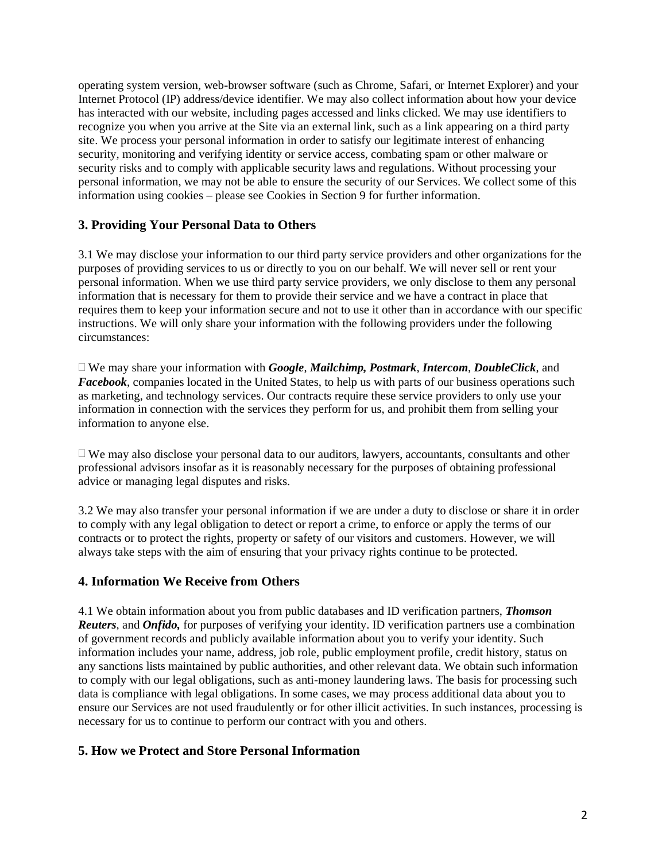operating system version, web-browser software (such as Chrome, Safari, or Internet Explorer) and your Internet Protocol (IP) address/device identifier. We may also collect information about how your device has interacted with our website, including pages accessed and links clicked. We may use identifiers to recognize you when you arrive at the Site via an external link, such as a link appearing on a third party site. We process your personal information in order to satisfy our legitimate interest of enhancing security, monitoring and verifying identity or service access, combating spam or other malware or security risks and to comply with applicable security laws and regulations. Without processing your personal information, we may not be able to ensure the security of our Services. We collect some of this information using cookies – please see Cookies in Section 9 for further information.

### **3. Providing Your Personal Data to Others**

3.1 We may disclose your information to our third party service providers and other organizations for the purposes of providing services to us or directly to you on our behalf. We will never sell or rent your personal information. When we use third party service providers, we only disclose to them any personal information that is necessary for them to provide their service and we have a contract in place that requires them to keep your information secure and not to use it other than in accordance with our specific instructions. We will only share your information with the following providers under the following circumstances:

 We may share your information with *Google*, *Mailchimp, Postmark*, *Intercom*, *DoubleClick*, and *Facebook*, companies located in the United States, to help us with parts of our business operations such as marketing, and technology services. Our contracts require these service providers to only use your information in connection with the services they perform for us, and prohibit them from selling your information to anyone else.

 $\Box$  We may also disclose your personal data to our auditors, lawyers, accountants, consultants and other professional advisors insofar as it is reasonably necessary for the purposes of obtaining professional advice or managing legal disputes and risks.

3.2 We may also transfer your personal information if we are under a duty to disclose or share it in order to comply with any legal obligation to detect or report a crime, to enforce or apply the terms of our contracts or to protect the rights, property or safety of our visitors and customers. However, we will always take steps with the aim of ensuring that your privacy rights continue to be protected.

### **4. Information We Receive from Others**

4.1 We obtain information about you from public databases and ID verification partners, *Thomson Reuters*, and *Onfido,* for purposes of verifying your identity. ID verification partners use a combination of government records and publicly available information about you to verify your identity. Such information includes your name, address, job role, public employment profile, credit history, status on any sanctions lists maintained by public authorities, and other relevant data. We obtain such information to comply with our legal obligations, such as anti-money laundering laws. The basis for processing such data is compliance with legal obligations. In some cases, we may process additional data about you to ensure our Services are not used fraudulently or for other illicit activities. In such instances, processing is necessary for us to continue to perform our contract with you and others.

### **5. How we Protect and Store Personal Information**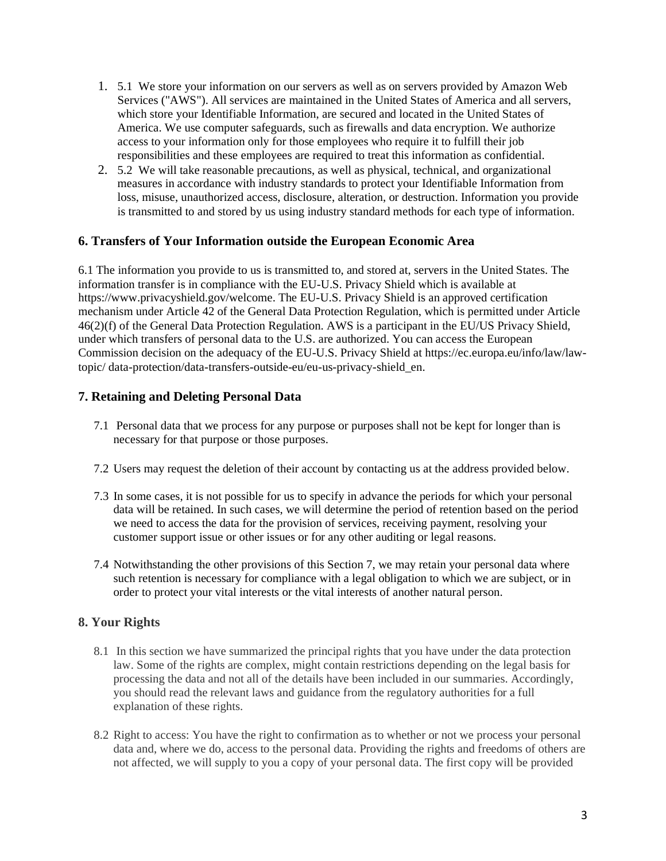- 1. 5.1 We store your information on our servers as well as on servers provided by Amazon Web Services ("AWS"). All services are maintained in the United States of America and all servers, which store your Identifiable Information, are secured and located in the United States of America. We use computer safeguards, such as firewalls and data encryption. We authorize access to your information only for those employees who require it to fulfill their job responsibilities and these employees are required to treat this information as confidential.
- 2. 5.2 We will take reasonable precautions, as well as physical, technical, and organizational measures in accordance with industry standards to protect your Identifiable Information from loss, misuse, unauthorized access, disclosure, alteration, or destruction. Information you provide is transmitted to and stored by us using industry standard methods for each type of information.

### **6. Transfers of Your Information outside the European Economic Area**

6.1 The information you provide to us is transmitted to, and stored at, servers in the United States. The information transfer is in compliance with the EU-U.S. Privacy Shield which is available at https://www.privacyshield.gov/welcome. The EU-U.S. Privacy Shield is an approved certification mechanism under Article 42 of the General Data Protection Regulation, which is permitted under Article 46(2)(f) of the General Data Protection Regulation. AWS is a participant in the EU/US Privacy Shield, under which transfers of personal data to the U.S. are authorized. You can access the European Commission decision on the adequacy of the EU-U.S. Privacy Shield at https://ec.europa.eu/info/law/lawtopic/ data-protection/data-transfers-outside-eu/eu-us-privacy-shield\_en.

### **7. Retaining and Deleting Personal Data**

- 7.1 Personal data that we process for any purpose or purposes shall not be kept for longer than is necessary for that purpose or those purposes.
- 7.2 Users may request the deletion of their account by contacting us at the address provided below.
- 7.3 In some cases, it is not possible for us to specify in advance the periods for which your personal data will be retained. In such cases, we will determine the period of retention based on the period we need to access the data for the provision of services, receiving payment, resolving your customer support issue or other issues or for any other auditing or legal reasons.
- 7.4 Notwithstanding the other provisions of this Section 7, we may retain your personal data where such retention is necessary for compliance with a legal obligation to which we are subject, or in order to protect your vital interests or the vital interests of another natural person.

#### **8. Your Rights**

- 8.1 In this section we have summarized the principal rights that you have under the data protection law. Some of the rights are complex, might contain restrictions depending on the legal basis for processing the data and not all of the details have been included in our summaries. Accordingly, you should read the relevant laws and guidance from the regulatory authorities for a full explanation of these rights.
- 8.2 Right to access: You have the right to confirmation as to whether or not we process your personal data and, where we do, access to the personal data. Providing the rights and freedoms of others are not affected, we will supply to you a copy of your personal data. The first copy will be provided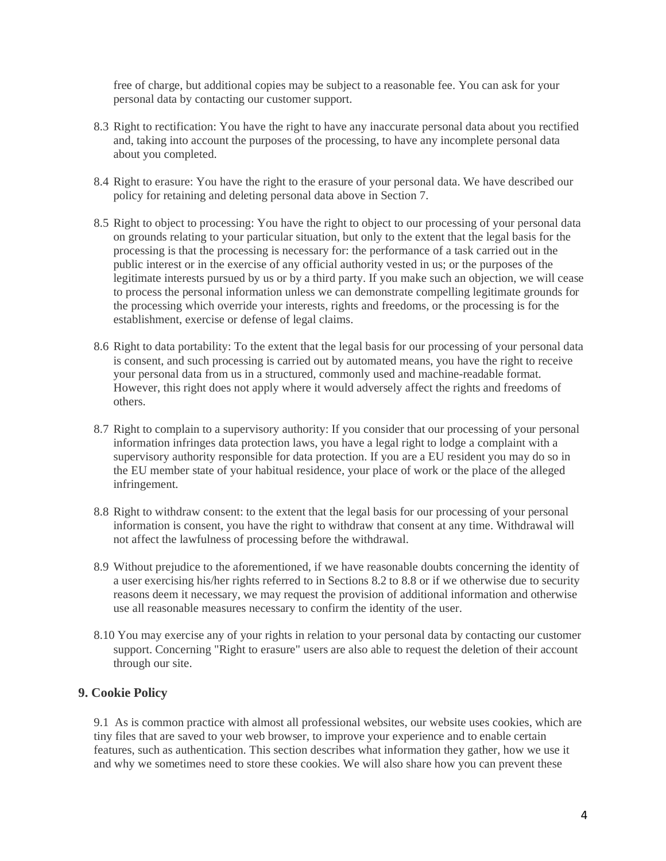free of charge, but additional copies may be subject to a reasonable fee. You can ask for your personal data by contacting our customer support.

- 8.3 Right to rectification: You have the right to have any inaccurate personal data about you rectified and, taking into account the purposes of the processing, to have any incomplete personal data about you completed.
- 8.4 Right to erasure: You have the right to the erasure of your personal data. We have described our policy for retaining and deleting personal data above in Section 7.
- 8.5 Right to object to processing: You have the right to object to our processing of your personal data on grounds relating to your particular situation, but only to the extent that the legal basis for the processing is that the processing is necessary for: the performance of a task carried out in the public interest or in the exercise of any official authority vested in us; or the purposes of the legitimate interests pursued by us or by a third party. If you make such an objection, we will cease to process the personal information unless we can demonstrate compelling legitimate grounds for the processing which override your interests, rights and freedoms, or the processing is for the establishment, exercise or defense of legal claims.
- 8.6 Right to data portability: To the extent that the legal basis for our processing of your personal data is consent, and such processing is carried out by automated means, you have the right to receive your personal data from us in a structured, commonly used and machine-readable format. However, this right does not apply where it would adversely affect the rights and freedoms of others.
- 8.7 Right to complain to a supervisory authority: If you consider that our processing of your personal information infringes data protection laws, you have a legal right to lodge a complaint with a supervisory authority responsible for data protection. If you are a EU resident you may do so in the EU member state of your habitual residence, your place of work or the place of the alleged infringement.
- 8.8 Right to withdraw consent: to the extent that the legal basis for our processing of your personal information is consent, you have the right to withdraw that consent at any time. Withdrawal will not affect the lawfulness of processing before the withdrawal.
- 8.9 Without prejudice to the aforementioned, if we have reasonable doubts concerning the identity of a user exercising his/her rights referred to in Sections 8.2 to 8.8 or if we otherwise due to security reasons deem it necessary, we may request the provision of additional information and otherwise use all reasonable measures necessary to confirm the identity of the user.
- 8.10 You may exercise any of your rights in relation to your personal data by contacting our customer support. Concerning "Right to erasure" users are also able to request the deletion of their account through our site.

#### **9. Cookie Policy**

9.1 As is common practice with almost all professional websites, our website uses cookies, which are tiny files that are saved to your web browser, to improve your experience and to enable certain features, such as authentication. This section describes what information they gather, how we use it and why we sometimes need to store these cookies. We will also share how you can prevent these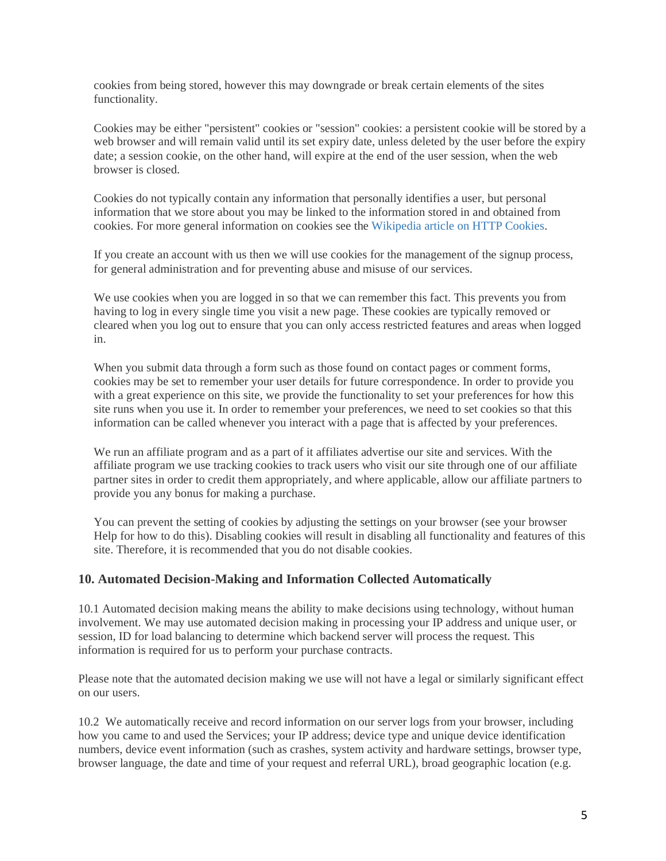cookies from being stored, however this may downgrade or break certain elements of the sites functionality.

Cookies may be either "persistent" cookies or "session" cookies: a persistent cookie will be stored by a web browser and will remain valid until its set expiry date, unless deleted by the user before the expiry date; a session cookie, on the other hand, will expire at the end of the user session, when the web browser is closed.

Cookies do not typically contain any information that personally identifies a user, but personal information that we store about you may be linked to the information stored in and obtained from cookies. For more general information on cookies see the Wikipedia article on HTTP Cookies.

If you create an account with us then we will use cookies for the management of the signup process, for general administration and for preventing abuse and misuse of our services.

We use cookies when you are logged in so that we can remember this fact. This prevents you from having to log in every single time you visit a new page. These cookies are typically removed or cleared when you log out to ensure that you can only access restricted features and areas when logged in.

When you submit data through a form such as those found on contact pages or comment forms, cookies may be set to remember your user details for future correspondence. In order to provide you with a great experience on this site, we provide the functionality to set your preferences for how this site runs when you use it. In order to remember your preferences, we need to set cookies so that this information can be called whenever you interact with a page that is affected by your preferences.

We run an affiliate program and as a part of it affiliates advertise our site and services. With the affiliate program we use tracking cookies to track users who visit our site through one of our affiliate partner sites in order to credit them appropriately, and where applicable, allow our affiliate partners to provide you any bonus for making a purchase.

You can prevent the setting of cookies by adjusting the settings on your browser (see your browser Help for how to do this). Disabling cookies will result in disabling all functionality and features of this site. Therefore, it is recommended that you do not disable cookies.

### **10. Automated Decision-Making and Information Collected Automatically**

10.1 Automated decision making means the ability to make decisions using technology, without human involvement. We may use automated decision making in processing your IP address and unique user, or session, ID for load balancing to determine which backend server will process the request. This information is required for us to perform your purchase contracts.

Please note that the automated decision making we use will not have a legal or similarly significant effect on our users.

10.2 We automatically receive and record information on our server logs from your browser, including how you came to and used the Services; your IP address; device type and unique device identification numbers, device event information (such as crashes, system activity and hardware settings, browser type, browser language, the date and time of your request and referral URL), broad geographic location (e.g.